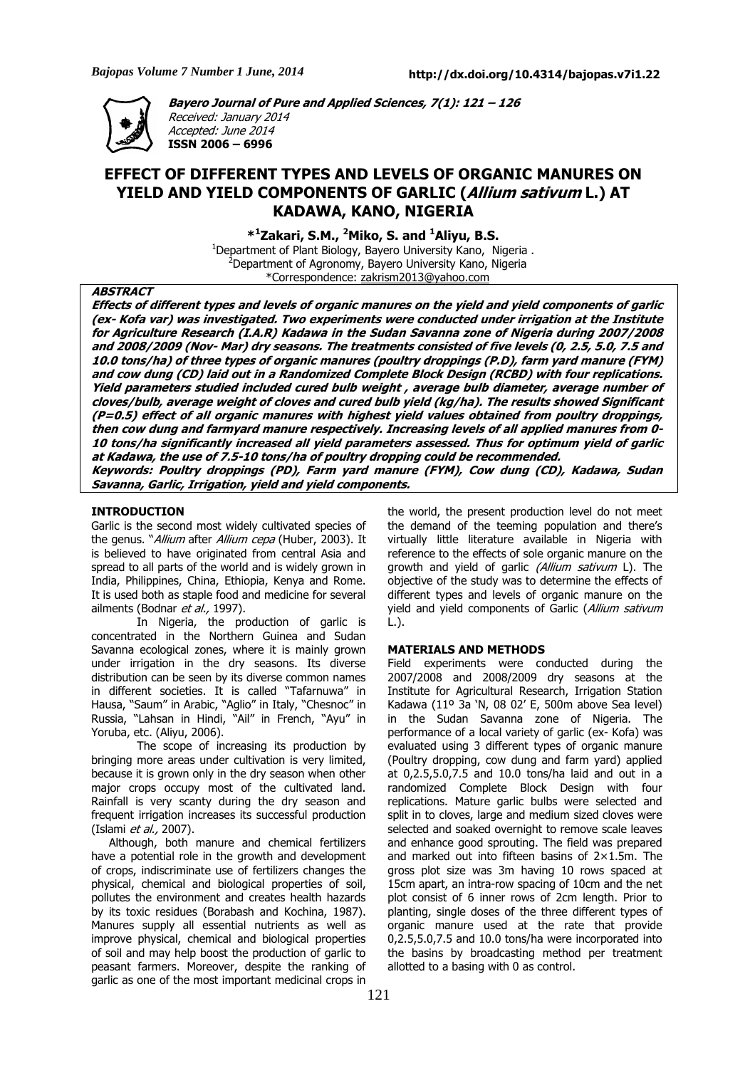

**Bayero Journal of Pure and Applied Sciences, 7(1): 121 – 126**  Received: January 2014 Accepted: June 2014 **ISSN 2006 – 6996** 

# **EFFECT OF DIFFERENT TYPES AND LEVELS OF ORGANIC MANURES ON YIELD AND YIELD COMPONENTS OF GARLIC (Allium sativum L.) AT KADAWA, KANO, NIGERIA**

**\* <sup>1</sup>Zakari, S.M., <sup>2</sup>Miko, S. and <sup>1</sup>Aliyu, B.S.** 

<sup>1</sup>Department of Plant Biology, Bayero University Kano, Nigeria. <sup>2</sup>Department of Agronomy, Bayero University Kano, Nigeria \*Correspondence: zakrism2013@yahoo.com

## **ABSTRACT**

**Effects of different types and levels of organic manures on the yield and yield components of garlic (ex- Kofa var) was investigated. Two experiments were conducted under irrigation at the Institute for Agriculture Research (I.A.R) Kadawa in the Sudan Savanna zone of Nigeria during 2007/2008 and 2008/2009 (Nov- Mar) dry seasons. The treatments consisted of five levels (0, 2.5, 5.0, 7.5 and 10.0 tons/ha) of three types of organic manures (poultry droppings (P.D), farm yard manure (FYM) and cow dung (CD) laid out in a Randomized Complete Block Design (RCBD) with four replications. Yield parameters studied included cured bulb weight , average bulb diameter, average number of cloves/bulb, average weight of cloves and cured bulb yield (kg/ha). The results showed Significant (P=0.5) effect of all organic manures with highest yield values obtained from poultry droppings, then cow dung and farmyard manure respectively. Increasing levels of all applied manures from 0- 10 tons/ha significantly increased all yield parameters assessed. Thus for optimum yield of garlic at Kadawa, the use of 7.5-10 tons/ha of poultry dropping could be recommended.** 

**Keywords: Poultry droppings (PD), Farm yard manure (FYM), Cow dung (CD), Kadawa, Sudan Savanna, Garlic, Irrigation, yield and yield components.** 

#### **INTRODUCTION**

Garlic is the second most widely cultivated species of the genus. "Allium after Allium cepa (Huber, 2003). It is believed to have originated from central Asia and spread to all parts of the world and is widely grown in India, Philippines, China, Ethiopia, Kenya and Rome. It is used both as staple food and medicine for several ailments (Bodnar et al., 1997).

In Nigeria, the production of garlic is concentrated in the Northern Guinea and Sudan Savanna ecological zones, where it is mainly grown under irrigation in the dry seasons. Its diverse distribution can be seen by its diverse common names in different societies. It is called "Tafarnuwa" in Hausa, "Saum" in Arabic, "Aglio" in Italy, "Chesnoc" in Russia, "Lahsan in Hindi, "Ail" in French, "Ayu" in Yoruba, etc. (Aliyu, 2006).

The scope of increasing its production by bringing more areas under cultivation is very limited, because it is grown only in the dry season when other major crops occupy most of the cultivated land. Rainfall is very scanty during the dry season and frequent irrigation increases its successful production (Islami *et al.*, 2007).

 Although, both manure and chemical fertilizers have a potential role in the growth and development of crops, indiscriminate use of fertilizers changes the physical, chemical and biological properties of soil, pollutes the environment and creates health hazards by its toxic residues (Borabash and Kochina, 1987). Manures supply all essential nutrients as well as improve physical, chemical and biological properties of soil and may help boost the production of garlic to peasant farmers. Moreover, despite the ranking of garlic as one of the most important medicinal crops in

the world, the present production level do not meet the demand of the teeming population and there's virtually little literature available in Nigeria with reference to the effects of sole organic manure on the growth and yield of garlic (Allium sativum L). The objective of the study was to determine the effects of different types and levels of organic manure on the yield and yield components of Garlic (Allium sativum L.).

#### **MATERIALS AND METHODS**

Field experiments were conducted during the 2007/2008 and 2008/2009 dry seasons at the Institute for Agricultural Research, Irrigation Station Kadawa (11º 3a 'N, 08 02' E, 500m above Sea level) in the Sudan Savanna zone of Nigeria. The performance of a local variety of garlic (ex- Kofa) was evaluated using 3 different types of organic manure (Poultry dropping, cow dung and farm yard) applied at 0,2.5,5.0,7.5 and 10.0 tons/ha laid and out in a randomized Complete Block Design with four replications. Mature garlic bulbs were selected and split in to cloves, large and medium sized cloves were selected and soaked overnight to remove scale leaves and enhance good sprouting. The field was prepared and marked out into fifteen basins of 2×1.5m. The gross plot size was 3m having 10 rows spaced at 15cm apart, an intra-row spacing of 10cm and the net plot consist of 6 inner rows of 2cm length. Prior to planting, single doses of the three different types of organic manure used at the rate that provide 0,2.5,5.0,7.5 and 10.0 tons/ha were incorporated into the basins by broadcasting method per treatment allotted to a basing with 0 as control.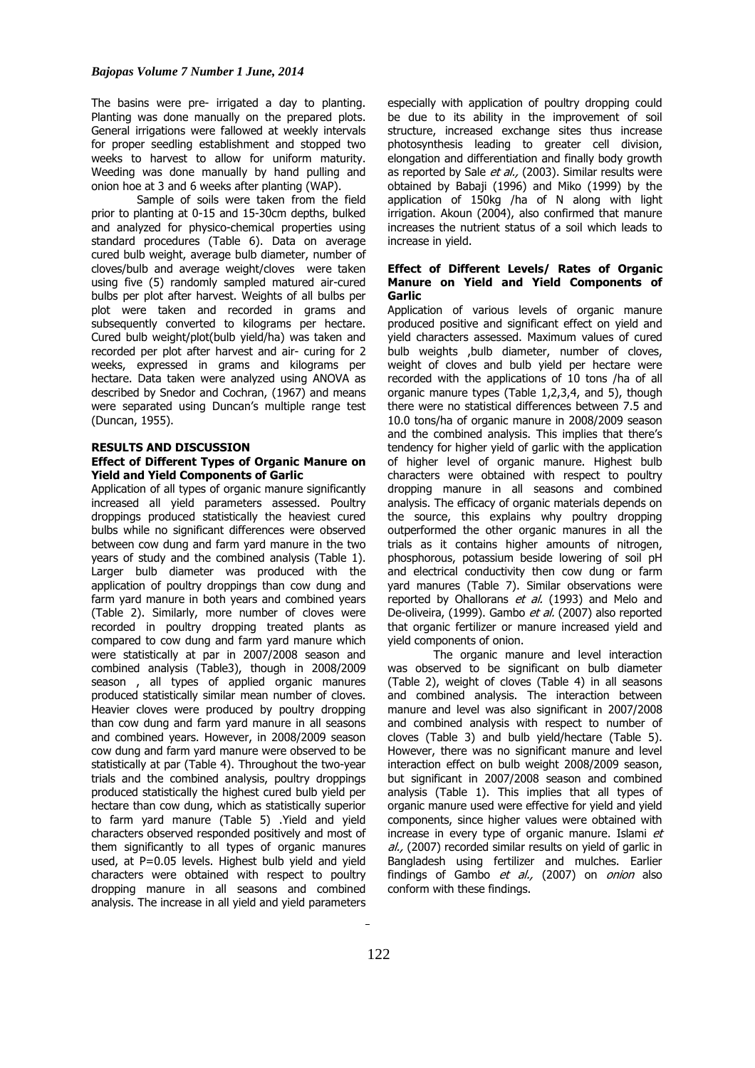The basins were pre- irrigated a day to planting. Planting was done manually on the prepared plots. General irrigations were fallowed at weekly intervals for proper seedling establishment and stopped two weeks to harvest to allow for uniform maturity. Weeding was done manually by hand pulling and onion hoe at 3 and 6 weeks after planting (WAP).

Sample of soils were taken from the field prior to planting at 0-15 and 15-30cm depths, bulked and analyzed for physico-chemical properties using standard procedures (Table 6). Data on average cured bulb weight, average bulb diameter, number of cloves/bulb and average weight/cloves were taken using five (5) randomly sampled matured air-cured bulbs per plot after harvest. Weights of all bulbs per plot were taken and recorded in grams and subsequently converted to kilograms per hectare. Cured bulb weight/plot(bulb yield/ha) was taken and recorded per plot after harvest and air- curing for 2 weeks, expressed in grams and kilograms per hectare. Data taken were analyzed using ANOVA as described by Snedor and Cochran, (1967) and means were separated using Duncan's multiple range test (Duncan, 1955).

#### **RESULTS AND DISCUSSION Effect of Different Types of Organic Manure on Yield and Yield Components of Garlic**

Application of all types of organic manure significantly increased all yield parameters assessed. Poultry droppings produced statistically the heaviest cured bulbs while no significant differences were observed between cow dung and farm yard manure in the two years of study and the combined analysis (Table 1). Larger bulb diameter was produced with the application of poultry droppings than cow dung and farm yard manure in both years and combined years (Table 2). Similarly, more number of cloves were recorded in poultry dropping treated plants as compared to cow dung and farm yard manure which were statistically at par in 2007/2008 season and combined analysis (Table3), though in 2008/2009 season , all types of applied organic manures produced statistically similar mean number of cloves. Heavier cloves were produced by poultry dropping than cow dung and farm yard manure in all seasons and combined years. However, in 2008/2009 season cow dung and farm yard manure were observed to be statistically at par (Table 4). Throughout the two-year trials and the combined analysis, poultry droppings produced statistically the highest cured bulb yield per hectare than cow dung, which as statistically superior to farm yard manure (Table 5) .Yield and yield characters observed responded positively and most of them significantly to all types of organic manures used, at P=0.05 levels. Highest bulb yield and yield characters were obtained with respect to poultry dropping manure in all seasons and combined analysis. The increase in all yield and yield parameters

especially with application of poultry dropping could be due to its ability in the improvement of soil structure, increased exchange sites thus increase photosynthesis leading to greater cell division, elongation and differentiation and finally body growth as reported by Sale et al., (2003). Similar results were obtained by Babaji (1996) and Miko (1999) by the application of 150kg /ha of N along with light irrigation. Akoun (2004), also confirmed that manure increases the nutrient status of a soil which leads to increase in yield.

#### **Effect of Different Levels/ Rates of Organic Manure on Yield and Yield Components of Garlic**

Application of various levels of organic manure produced positive and significant effect on yield and yield characters assessed. Maximum values of cured bulb weights ,bulb diameter, number of cloves, weight of cloves and bulb yield per hectare were recorded with the applications of 10 tons /ha of all organic manure types (Table 1,2,3,4, and 5), though there were no statistical differences between 7.5 and 10.0 tons/ha of organic manure in 2008/2009 season and the combined analysis. This implies that there's tendency for higher yield of garlic with the application of higher level of organic manure. Highest bulb characters were obtained with respect to poultry dropping manure in all seasons and combined analysis. The efficacy of organic materials depends on the source, this explains why poultry dropping outperformed the other organic manures in all the trials as it contains higher amounts of nitrogen, phosphorous, potassium beside lowering of soil pH and electrical conductivity then cow dung or farm yard manures (Table 7). Similar observations were reported by Ohallorans et al. (1993) and Melo and De-oliveira, (1999). Gambo et al. (2007) also reported that organic fertilizer or manure increased yield and yield components of onion.

The organic manure and level interaction was observed to be significant on bulb diameter (Table 2), weight of cloves (Table 4) in all seasons and combined analysis. The interaction between manure and level was also significant in 2007/2008 and combined analysis with respect to number of cloves (Table 3) and bulb yield/hectare (Table 5). However, there was no significant manure and level interaction effect on bulb weight 2008/2009 season, but significant in 2007/2008 season and combined analysis (Table 1). This implies that all types of organic manure used were effective for yield and yield components, since higher values were obtained with increase in every type of organic manure. Islami et al., (2007) recorded similar results on vield of garlic in Bangladesh using fertilizer and mulches. Earlier findings of Gambo et al.,  $(2007)$  on onion also conform with these findings.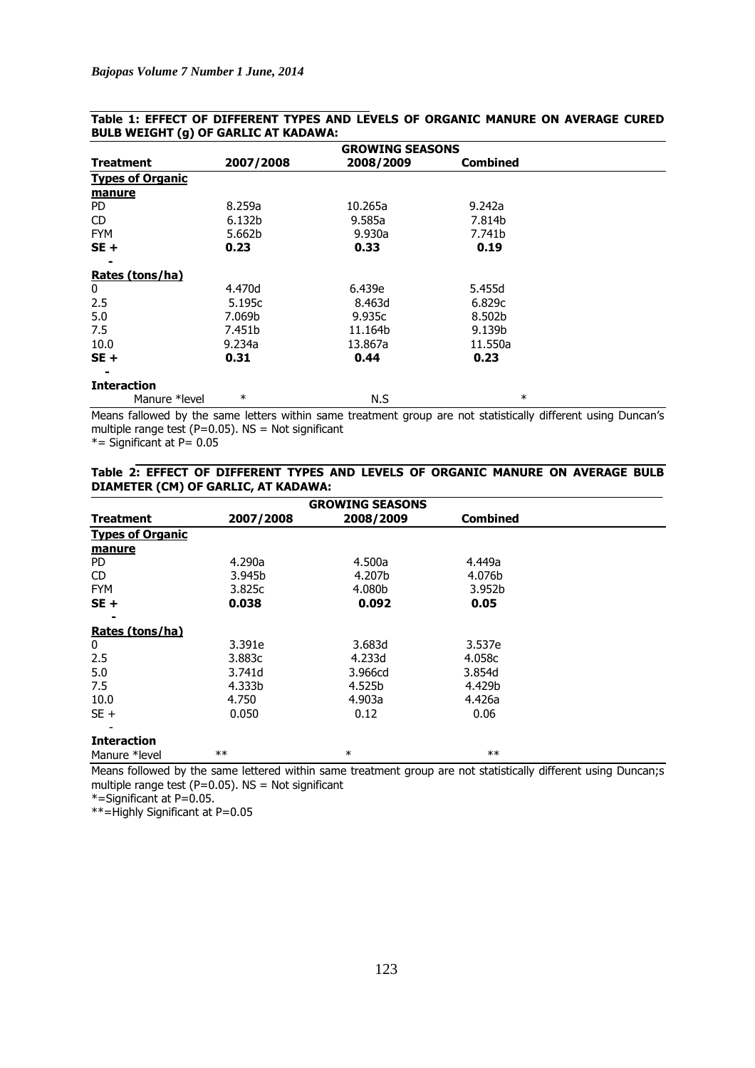|  |  | Table 1: EFFECT OF DIFFERENT TYPES AND LEVELS OF ORGANIC MANURE ON AVERAGE CURED |  |  |  |  |  |
|--|--|----------------------------------------------------------------------------------|--|--|--|--|--|
|  |  | <b>BULB WEIGHT (g) OF GARLIC AT KADAWA:</b>                                      |  |  |  |  |  |
|  |  |                                                                                  |  |  |  |  |  |

|                                    | <b>GROWING SEASONS</b>                                                                                                                                                                                                         |           |                                                                                                                 |  |  |  |  |
|------------------------------------|--------------------------------------------------------------------------------------------------------------------------------------------------------------------------------------------------------------------------------|-----------|-----------------------------------------------------------------------------------------------------------------|--|--|--|--|
| <b>Treatment</b>                   | 2007/2008                                                                                                                                                                                                                      | 2008/2009 | <b>Combined</b>                                                                                                 |  |  |  |  |
| <b>Types of Organic</b>            |                                                                                                                                                                                                                                |           |                                                                                                                 |  |  |  |  |
| manure                             |                                                                                                                                                                                                                                |           |                                                                                                                 |  |  |  |  |
| <b>PD</b>                          | 8.259a                                                                                                                                                                                                                         | 10.265a   | 9.242a                                                                                                          |  |  |  |  |
| CD.                                | 6.132b                                                                                                                                                                                                                         | 9.585a    | 7.814b                                                                                                          |  |  |  |  |
| <b>FYM</b>                         | 5.662b                                                                                                                                                                                                                         | 9.930a    | 7.741b                                                                                                          |  |  |  |  |
| $SE +$                             | 0.23                                                                                                                                                                                                                           | 0.33      | 0.19                                                                                                            |  |  |  |  |
|                                    |                                                                                                                                                                                                                                |           |                                                                                                                 |  |  |  |  |
| Rates (tons/ha)                    |                                                                                                                                                                                                                                |           |                                                                                                                 |  |  |  |  |
| 0                                  | 4.470d                                                                                                                                                                                                                         | 6.439e    | 5.455d                                                                                                          |  |  |  |  |
| 2.5                                | 5.195c                                                                                                                                                                                                                         | 8.463d    | 6.829c                                                                                                          |  |  |  |  |
| 5.0                                | 7.069b                                                                                                                                                                                                                         | 9.935c    | 8.502b                                                                                                          |  |  |  |  |
| 7.5                                | 7.451b                                                                                                                                                                                                                         | 11.164b   | 9.139b                                                                                                          |  |  |  |  |
| 10.0                               | 9.234a                                                                                                                                                                                                                         | 13.867a   | 11.550a                                                                                                         |  |  |  |  |
| $SE +$                             | 0.31                                                                                                                                                                                                                           | 0.44      | 0.23                                                                                                            |  |  |  |  |
| <b>Interaction</b>                 |                                                                                                                                                                                                                                |           |                                                                                                                 |  |  |  |  |
| Manure *level                      | $\ast$                                                                                                                                                                                                                         | N.S       | $\ast$                                                                                                          |  |  |  |  |
| <b>More of Called and Location</b> | the control of the first constitution of the control of the control of the control of the control of the control of the control of the control of the control of the control of the control of the control of the control of t |           | the state of the first set of the state of the state of the state of the state of the state of the state of the |  |  |  |  |

Means fallowed by the same letters within same treatment group are not statistically different using Duncan's multiple range test (P=0.05). NS = Not significant

## $*$  = Significant at P= 0.05

## **Table 2: EFFECT OF DIFFERENT TYPES AND LEVELS OF ORGANIC MANURE ON AVERAGE BULB DIAMETER (CM) OF GARLIC, AT KADAWA:**

|                         |           | <b>GROWING SEASONS</b> |                    |  |
|-------------------------|-----------|------------------------|--------------------|--|
| <b>Treatment</b>        | 2007/2008 | 2008/2009              | <b>Combined</b>    |  |
| <b>Types of Organic</b> |           |                        |                    |  |
| manure                  |           |                        |                    |  |
| <b>PD</b>               | 4.290a    | 4.500a                 | 4.449a             |  |
| CD.                     | 3.945b    | 4.207b                 | 4.076b             |  |
| <b>FYM</b>              | 3.825c    | 4.080b                 | 3.952 <sub>b</sub> |  |
| $SE +$                  | 0.038     | 0.092                  | 0.05               |  |
|                         |           |                        |                    |  |
| Rates (tons/ha)         |           |                        |                    |  |
| 0                       | 3.391e    | 3.683d                 | 3.537e             |  |
| 2.5                     | 3.883c    | 4.233d                 | 4.058c             |  |
| 5.0                     | 3.741d    | 3.966cd                | 3.854d             |  |
| 7.5                     | 4.333b    | 4.525b                 | 4.429b             |  |
| 10.0                    | 4.750     | 4.903a                 | 4.426a             |  |
| $SE +$                  | 0.050     | 0.12                   | 0.06               |  |
| <b>Interaction</b>      |           |                        |                    |  |
| Manure *level           | $***$     | $\ast$                 | $**$               |  |

Means followed by the same lettered within same treatment group are not statistically different using Duncan;s multiple range test (P=0.05). NS = Not significant

\*=Significant at P=0.05.

 $**$ =Highly Significant at P=0.05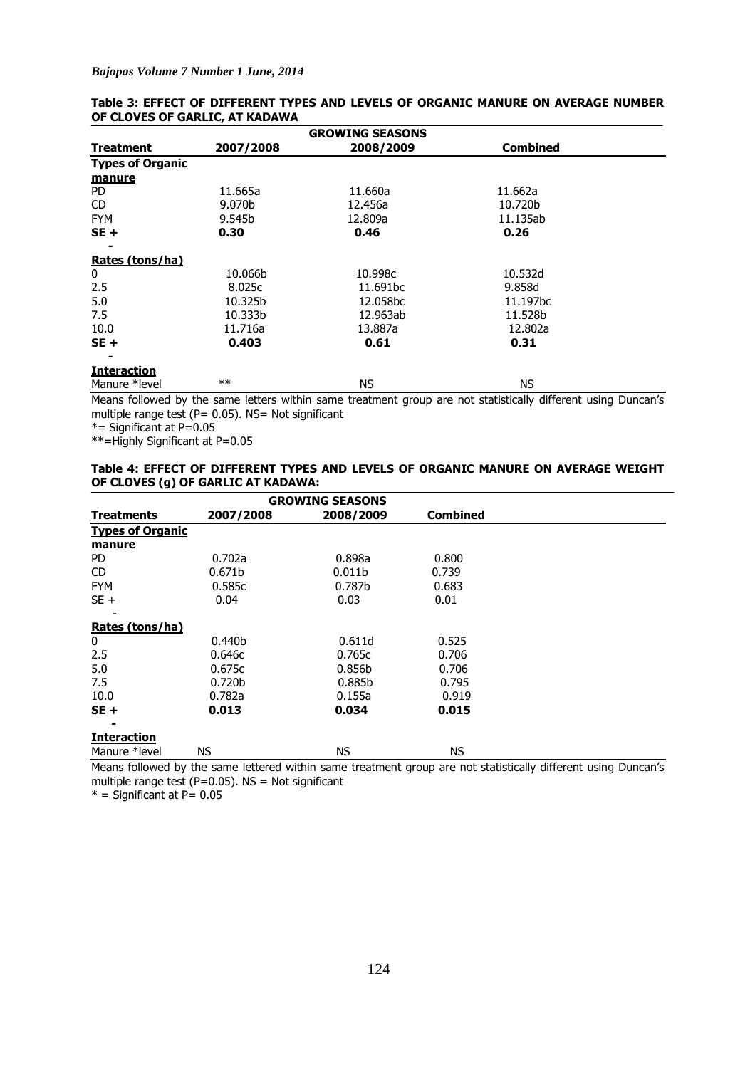| <b>GROWING SEASONS</b>  |           |           |                 |  |  |  |
|-------------------------|-----------|-----------|-----------------|--|--|--|
| <b>Treatment</b>        | 2007/2008 | 2008/2009 | <b>Combined</b> |  |  |  |
| <b>Types of Organic</b> |           |           |                 |  |  |  |
| manure                  |           |           |                 |  |  |  |
| <b>PD</b>               | 11.665a   | 11,660a   | 11.662a         |  |  |  |
| CD.                     | 9.070b    | 12.456a   | 10.720b         |  |  |  |
| <b>FYM</b>              | 9.545b    | 12.809a   | 11.135ab        |  |  |  |
| $SE +$                  | 0.30      | 0.46      | 0.26            |  |  |  |
| Rates (tons/ha)         |           |           |                 |  |  |  |
| 0                       | 10.066b   | 10.998c   | 10.532d         |  |  |  |
| 2.5                     | 8.025c    | 11.691bc  | 9.858d          |  |  |  |
| 5.0                     | 10.325b   | 12.058bc  | 11.197bc        |  |  |  |
| 7.5                     | 10.333b   | 12.963ab  | 11.528b         |  |  |  |
| 10.0                    | 11.716a   | 13.887a   | 12,802a         |  |  |  |
| $SE +$                  | 0.403     | 0.61      | 0.31            |  |  |  |
| <b>Interaction</b>      |           |           |                 |  |  |  |
| Manure *level           | $***$     | ΝS        | <b>NS</b>       |  |  |  |

#### **Table 3: EFFECT OF DIFFERENT TYPES AND LEVELS OF ORGANIC MANURE ON AVERAGE NUMBER OF CLOVES OF GARLIC, AT KADAWA**

Means followed by the same letters within same treatment group are not statistically different using Duncan's multiple range test (P=  $0.05$ ). NS= Not significant

 $*$ = Significant at P=0.05

\*\*=Highly Significant at P=0.05

## **Table 4: EFFECT OF DIFFERENT TYPES AND LEVELS OF ORGANIC MANURE ON AVERAGE WEIGHT OF CLOVES (g) OF GARLIC AT KADAWA:**

|                                     |                    | <b>GROWING SEASONS</b> |                 |  |
|-------------------------------------|--------------------|------------------------|-----------------|--|
| <b>Treatments</b>                   | 2007/2008          | 2008/2009              | <b>Combined</b> |  |
| <b>Types of Organic</b>             |                    |                        |                 |  |
| manure                              |                    |                        |                 |  |
| <b>PD</b>                           | 0.702a             | 0.898a                 | 0.800           |  |
| CD.                                 | 0.671 <sub>b</sub> | 0.011 <sub>b</sub>     | 0.739           |  |
| <b>FYM</b>                          | 0.585c             | 0.787b                 | 0.683           |  |
| $SE +$                              | 0.04               | 0.03                   | 0.01            |  |
| Rates (tons/ha)                     |                    |                        |                 |  |
| 0                                   | 0.440 <sub>b</sub> | 0.611d                 | 0.525           |  |
| 2.5                                 | 0.646c             | 0.765c                 | 0.706           |  |
| 5.0                                 | 0.675c             | 0.856b                 | 0.706           |  |
| 7.5                                 | 0.720b             | 0.885b                 | 0.795           |  |
| 10.0                                | 0.782a             | 0.155a                 | 0.919           |  |
| $SE +$                              | 0.013              | 0.034                  | 0.015           |  |
|                                     |                    |                        |                 |  |
| <b>Interaction</b><br>Manure *level | <b>NS</b>          | NS.                    | <b>NS</b>       |  |

Means followed by the same lettered within same treatment group are not statistically different using Duncan's multiple range test (P=0.05).  $NS = Not$  significant

 $* =$  Significant at P= 0.05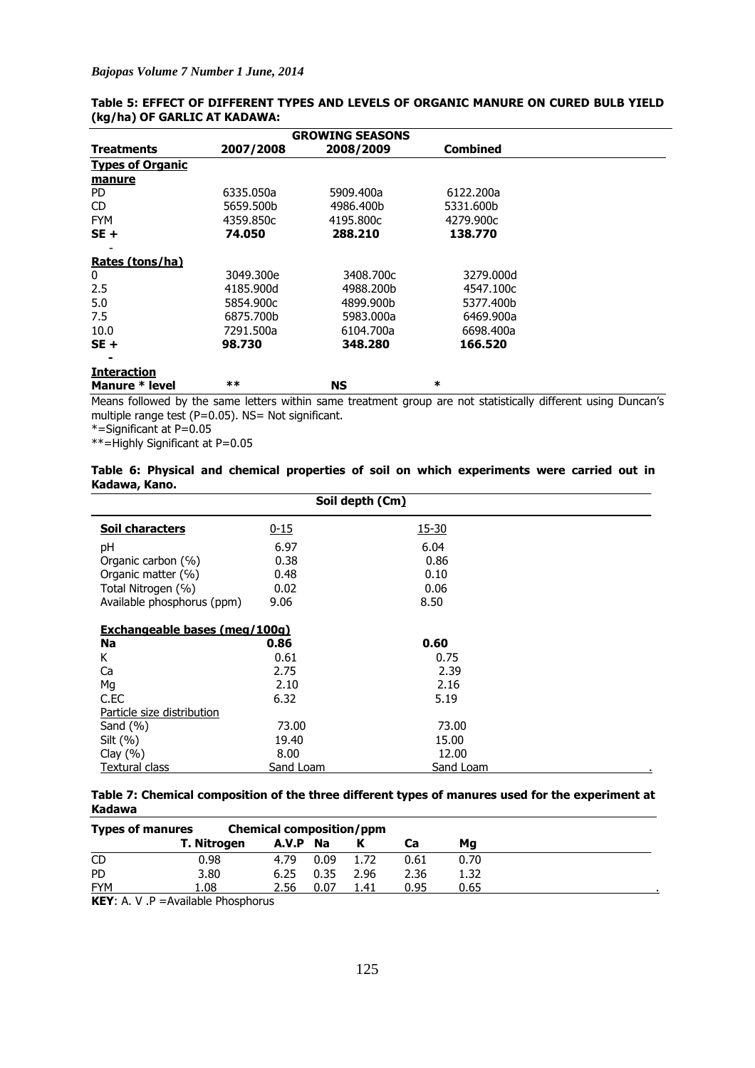|                         |           | <b>GROWING SEASONS</b> |                 |  |
|-------------------------|-----------|------------------------|-----------------|--|
| <b>Treatments</b>       | 2007/2008 | 2008/2009              | <b>Combined</b> |  |
| <b>Types of Organic</b> |           |                        |                 |  |
| manure                  |           |                        |                 |  |
| <b>PD</b>               | 6335.050a | 5909.400a              | 6122.200a       |  |
| CD                      | 5659.500b | 4986,400b              | 5331.600b       |  |
| <b>FYM</b>              | 4359.850c | 4195.800c              | 4279.900c       |  |
| $SE +$                  | 74.050    | 288.210                | 138.770         |  |
| Rates (tons/ha)         |           |                        |                 |  |
| 0                       | 3049.300e | 3408.700c              | 3279,000d       |  |
| 2.5                     | 4185,900d | 4988,200b              | 4547.100c       |  |
| 5.0                     | 5854.900c | 4899,900b              | 5377.400b       |  |
| 7.5                     | 6875.700b | 5983,000a              | 6469.900a       |  |
| 10.0                    | 7291.500a | 6104.700a              | 6698.400a       |  |
| $SE +$                  | 98.730    | 348,280                | 166.520         |  |
| <b>Interaction</b>      |           |                        |                 |  |
| Manure * level          | $***$     | <b>NS</b>              | $\ast$          |  |

## **Table 5: EFFECT OF DIFFERENT TYPES AND LEVELS OF ORGANIC MANURE ON CURED BULB YIELD (kg/ha) OF GARLIC AT KADAWA:**

Means followed by the same letters within same treatment group are not statistically different using Duncan's multiple range test ( $P=0.05$ ). NS= Not significant.

 $*$ =Significant at P=0.05

\*\*=Highly Significant at P=0.05

### **Table 6: Physical and chemical properties of soil on which experiments were carried out in Kadawa, Kano.**

| Soil depth (Cm)                      |           |              |  |  |  |  |
|--------------------------------------|-----------|--------------|--|--|--|--|
| <b>Soil characters</b>               | $0 - 15$  | <u>15-30</u> |  |  |  |  |
| pH                                   | 6.97      | 6.04         |  |  |  |  |
| Organic carbon (%)                   | 0.38      | 0.86         |  |  |  |  |
| Organic matter (%)                   | 0.48      | 0.10         |  |  |  |  |
| Total Nitrogen (%)                   | 0.02      | 0.06         |  |  |  |  |
| Available phosphorus (ppm)           | 9.06      | 8.50         |  |  |  |  |
| <b>Exchangeable bases (meg/100g)</b> |           |              |  |  |  |  |
| <b>Na</b>                            | 0.86      | 0.60         |  |  |  |  |
| К                                    | 0.61      | 0.75         |  |  |  |  |
| Ca                                   | 2.75      | 2.39         |  |  |  |  |
| Mg                                   | 2.10      | 2.16         |  |  |  |  |
| C.EC                                 | 6.32      | 5.19         |  |  |  |  |
| Particle size distribution           |           |              |  |  |  |  |
| Sand $(\% )$                         | 73.00     | 73.00        |  |  |  |  |
| Silt (%)                             | 19.40     | 15.00        |  |  |  |  |
| Clay $(% )$                          | 8.00      | 12.00        |  |  |  |  |
| Textural class                       | Sand Loam | Sand Loam    |  |  |  |  |

## **Table 7: Chemical composition of the three different types of manures used for the experiment at Kadawa**

| <b>Types of manures</b> |                                              | <b>Chemical composition/ppm</b> |      |      |      |      |  |
|-------------------------|----------------------------------------------|---------------------------------|------|------|------|------|--|
|                         | T. Nitrogen                                  | A.V.P Na                        |      |      |      | Ma   |  |
| CD                      | 0.98                                         | 4.79                            | 0.09 | 1.72 | 0.61 | 0.70 |  |
| <b>PD</b>               | 3.80                                         | 6.25                            | 0.35 | 2.96 | 2.36 | 1.32 |  |
| <b>FYM</b>              | 1.08                                         | 2.56                            | 0.07 | 1.41 | 0.95 | 0.65 |  |
|                         | <b>KEV.</b> A $V$ $D =$ Available Dhosphorus |                                 |      |      |      |      |  |

**KEY**: A. V .P =Available Phosphorus